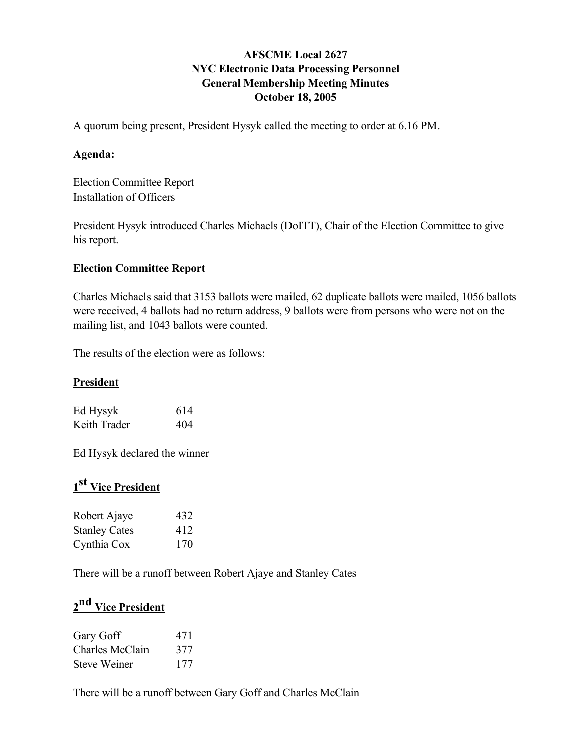## AFSCME Local 2627 NYC Electronic Data Processing Personnel General Membership Meeting Minutes October 18, 2005

A quorum being present, President Hysyk called the meeting to order at 6.16 PM.

## Agenda:

Election Committee Report Installation of Officers

President Hysyk introduced Charles Michaels (DoITT), Chair of the Election Committee to give his report.

## Election Committee Report

Charles Michaels said that 3153 ballots were mailed, 62 duplicate ballots were mailed, 1056 ballots were received, 4 ballots had no return address, 9 ballots were from persons who were not on the mailing list, and 1043 ballots were counted.

The results of the election were as follows:

### **President**

| Ed Hysyk     | 614 |
|--------------|-----|
| Keith Trader | 404 |

Ed Hysyk declared the winner

# 1<sup>st</sup> Vice President

| Robert Ajaye         | 432 |
|----------------------|-----|
| <b>Stanley Cates</b> | 412 |
| Cynthia Cox          | 170 |

There will be a runoff between Robert Ajaye and Stanley Cates

## 2<sup>nd</sup> Vice President

| Gary Goff           | 471 |
|---------------------|-----|
| Charles McClain     | 377 |
| <b>Steve Weiner</b> | 177 |

There will be a runoff between Gary Goff and Charles McClain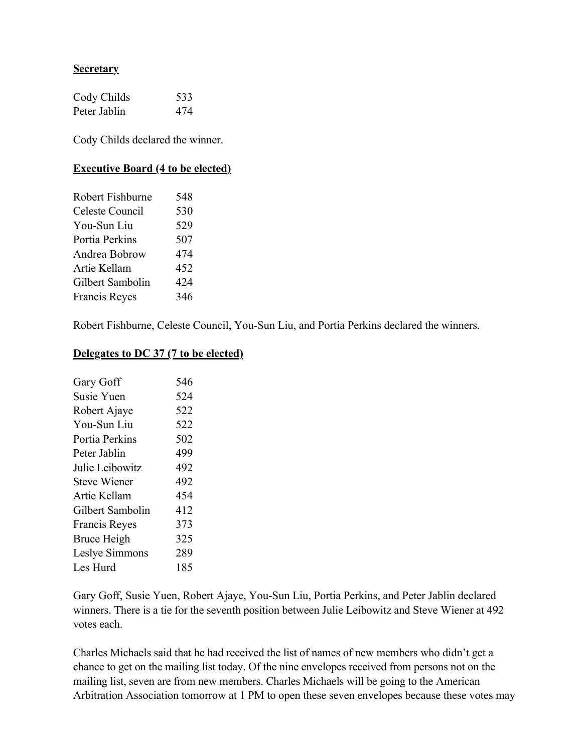### **Secretary**

| Cody Childs  | 533 |
|--------------|-----|
| Peter Jablin | 474 |

Cody Childs declared the winner.

#### Executive Board (4 to be elected)

| Robert Fishburne     | 548 |
|----------------------|-----|
| Celeste Council      | 530 |
| You-Sun Liu          | 529 |
| Portia Perkins       | 507 |
| Andrea Bobrow        | 474 |
| Artie Kellam         | 452 |
| Gilbert Sambolin     | 424 |
| <b>Francis Reyes</b> | 346 |
|                      |     |

Robert Fishburne, Celeste Council, You-Sun Liu, and Portia Perkins declared the winners.

#### Delegates to DC 37 (7 to be elected)

| Gary Goff            | 546 |
|----------------------|-----|
| Susie Yuen           | 524 |
| Robert Ajaye         | 522 |
| You-Sun Liu          | 522 |
| Portia Perkins       | 502 |
| Peter Jablin         | 499 |
| Julie Leibowitz      | 492 |
| <b>Steve Wiener</b>  | 492 |
| Artie Kellam         | 454 |
| Gilbert Sambolin     | 412 |
| <b>Francis Reyes</b> | 373 |
| Bruce Heigh          | 325 |
| Leslye Simmons       | 289 |
| Les Hurd             | 185 |
|                      |     |

Gary Goff, Susie Yuen, Robert Ajaye, You-Sun Liu, Portia Perkins, and Peter Jablin declared winners. There is a tie for the seventh position between Julie Leibowitz and Steve Wiener at 492 votes each.

Charles Michaels said that he had received the list of names of new members who didn't get a chance to get on the mailing list today. Of the nine envelopes received from persons not on the mailing list, seven are from new members. Charles Michaels will be going to the American Arbitration Association tomorrow at 1 PM to open these seven envelopes because these votes may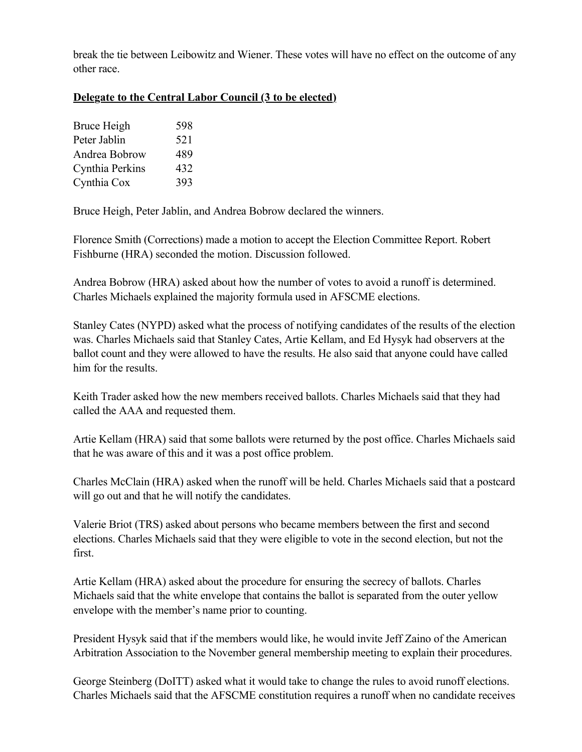break the tie between Leibowitz and Wiener. These votes will have no effect on the outcome of any other race.

## Delegate to the Central Labor Council (3 to be elected)

| Bruce Heigh     | 598 |
|-----------------|-----|
| Peter Jablin    | 521 |
| Andrea Bobrow   | 489 |
| Cynthia Perkins | 432 |
| Cynthia Cox     | 393 |

Bruce Heigh, Peter Jablin, and Andrea Bobrow declared the winners.

Florence Smith (Corrections) made a motion to accept the Election Committee Report. Robert Fishburne (HRA) seconded the motion. Discussion followed.

Andrea Bobrow (HRA) asked about how the number of votes to avoid a runoff is determined. Charles Michaels explained the majority formula used in AFSCME elections.

Stanley Cates (NYPD) asked what the process of notifying candidates of the results of the election was. Charles Michaels said that Stanley Cates, Artie Kellam, and Ed Hysyk had observers at the ballot count and they were allowed to have the results. He also said that anyone could have called him for the results.

Keith Trader asked how the new members received ballots. Charles Michaels said that they had called the AAA and requested them.

Artie Kellam (HRA) said that some ballots were returned by the post office. Charles Michaels said that he was aware of this and it was a post office problem.

Charles McClain (HRA) asked when the runoff will be held. Charles Michaels said that a postcard will go out and that he will notify the candidates.

Valerie Briot (TRS) asked about persons who became members between the first and second elections. Charles Michaels said that they were eligible to vote in the second election, but not the first.

Artie Kellam (HRA) asked about the procedure for ensuring the secrecy of ballots. Charles Michaels said that the white envelope that contains the ballot is separated from the outer yellow envelope with the member's name prior to counting.

President Hysyk said that if the members would like, he would invite Jeff Zaino of the American Arbitration Association to the November general membership meeting to explain their procedures.

George Steinberg (DoITT) asked what it would take to change the rules to avoid runoff elections. Charles Michaels said that the AFSCME constitution requires a runoff when no candidate receives